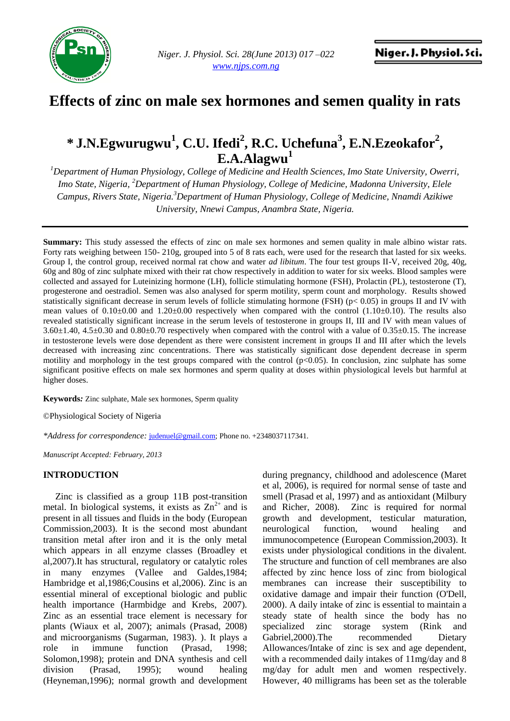

# **Effects of zinc on male sex hormones and semen quality in rats**

## **\* J.N.Egwurugwu<sup>1</sup> , C.U. Ifedi<sup>2</sup> , R.C. Uchefuna<sup>3</sup> , E.N.Ezeokafor<sup>2</sup> , E.A.Alagwu<sup>1</sup>**

*<sup>1</sup>Department of Human Physiology, College of Medicine and Health Sciences, Imo State University, Owerri, Imo State, Nigeria, <sup>2</sup>Department of Human Physiology, College of Medicine, Madonna University, Elele Campus, Rivers State, Nigeria.<sup>3</sup>Department of Human Physiology, College of Medicine, Nnamdi Azikiwe University, Nnewi Campus, Anambra State, Nigeria.*

**Summary:** This study assessed the effects of zinc on male sex hormones and semen quality in male albino wistar rats. Forty rats weighing between 150- 210g, grouped into 5 of 8 rats each, were used for the research that lasted for six weeks. Group I, the control group, received normal rat chow and water *ad libitum*. The four test groups II-V, received 20g, 40g, 60g and 80g of zinc sulphate mixed with their rat chow respectively in addition to water for six weeks. Blood samples were collected and assayed for Luteinizing hormone (LH), follicle stimulating hormone (FSH), Prolactin (PL), testosterone (T), progesterone and oestradiol. Semen was also analysed for sperm motility, sperm count and morphology. Results showed statistically significant decrease in serum levels of follicle stimulating hormone (FSH) ( $p < 0.05$ ) in groups II and IV with mean values of  $0.10\pm0.00$  and  $1.20\pm0.00$  respectively when compared with the control  $(1.10\pm0.10)$ . The results also revealed statistically significant increase in the serum levels of testosterone in groups II, III and IV with mean values of 3.60±1.40, 4.5±0.30 and 0.80±0.70 respectively when compared with the control with a value of 0.35±0.15. The increase in testosterone levels were dose dependent as there were consistent increment in groups II and III after which the levels decreased with increasing zinc concentrations. There was statistically significant dose dependent decrease in sperm motility and morphology in the test groups compared with the control (p<0.05). In conclusion, zinc sulphate has some significant positive effects on male sex hormones and sperm quality at doses within physiological levels but harmful at higher doses.

**Keywords***:* Zinc sulphate, Male sex hormones, Sperm quality

©Physiological Society of Nigeria

*\*Address for correspondence:* [judenuel@gmail.com;](mailto:judenuel@gmail.com) Phone no. +2348037117341.

*Manuscript Accepted: February, 2013*

#### **INTRODUCTION**

Zinc is classified as a group 11B post-transition metal. In biological systems, it exists as  $\text{Zn}^{2+}$  and is present in all tissues and fluids in the body (European Commission,2003). It is the second most abundant transition metal after iron and it is the only metal which appears in all enzyme classes (Broadley et al,2007).It has structural, regulatory or catalytic roles in many enzymes (Vallee and Galdes,1984; Hambridge et al,1986;Cousins et al,2006). Zinc is an essential mineral of exceptional biologic and public health importance (Harmbidge and Krebs, 2007). Zinc as an essential trace element is necessary for plants (Wiaux et al, 2007); animals (Prasad, 2008) and microorganisms (Sugarman, 1983). ). It plays a role in immune function (Prasad, 1998; Solomon,1998); protein and DNA synthesis and cell division (Prasad, 1995); wound healing (Heyneman,1996); normal growth and development during pregnancy, childhood and adolescence (Maret et al, 2006), is required for normal sense of taste and smell (Prasad et al, 1997) and as antioxidant (Milbury and Richer, 2008). Zinc is required for normal growth and development, testicular maturation, neurological function, wound healing and immunocompetence (European Commission,2003). It exists under physiological conditions in the divalent. The structure and function of cell membranes are also affected by zinc hence loss of zinc from biological membranes can increase their susceptibility to oxidative damage and impair their function (O'Dell, 2000). A daily intake of zinc is essential to maintain a steady state of health since the body has no specialized zinc storage system (Rink and Gabriel, 2000). The recommended Dietary Allowances/Intake of zinc is sex and age dependent, with a recommended daily intakes of 11mg/day and 8 mg/day for adult men and women respectively. However, 40 milligrams has been set as the tolerable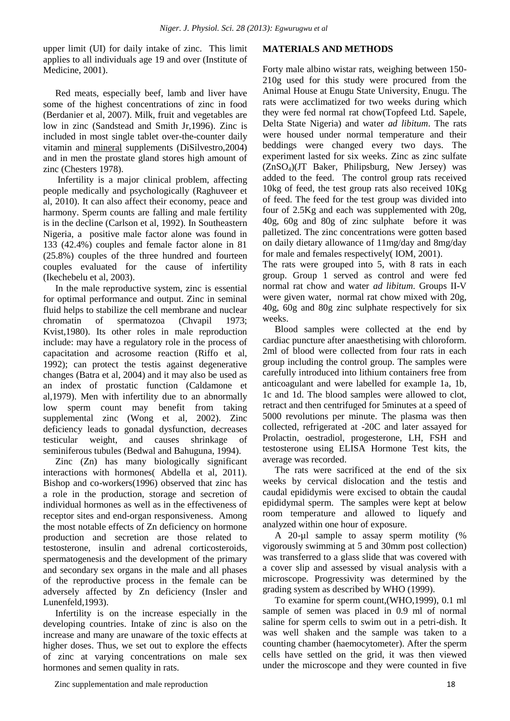upper limit (UI) for daily intake of zinc. This limit applies to all individuals age 19 and over (Institute of Medicine, 2001).

Red meats, especially beef, lamb and liver have some of the highest concentrations of zinc in food (Berdanier et al, 2007). Milk, fruit and vegetables are low in zinc (Sandstead and Smith Jr,1996). Zinc is included in most single tablet over-the-counter daily vitamin and [mineral](http://en.wikipedia.org/wiki/Dietary_mineral) supplements (DiSilvestro,2004) and in men the prostate gland stores high amount of zinc (Chesters 1978).

Infertility is a major clinical problem, affecting people medically and psychologically (Raghuveer et al, 2010). It can also affect their economy, peace and harmony. Sperm counts are falling and male fertility is in the decline (Carlson et al, 1992). In Southeastern Nigeria, a positive male factor alone was found in 133 (42.4%) couples and female factor alone in 81 (25.8%) couples of the three hundred and fourteen couples evaluated for the cause of infertility (Ikechebelu et al, 2003).

In the male reproductive system, zinc is essential for optimal performance and output. Zinc in seminal fluid helps to stabilize the cell membrane and nuclear chromatin of spermatozoa (Chvapil 1973; Kvist,1980). Its other roles in male reproduction include: may have a regulatory role in the process of capacitation and acrosome reaction (Riffo et al, 1992); can protect the testis against degenerative changes (Batra et al, 2004) and it may also be used as an index of prostatic function (Caldamone et al,1979). Men with infertility due to an abnormally low sperm count may benefit from taking supplemental zinc (Wong et al, 2002). Zinc deficiency leads to gonadal dysfunction, decreases testicular weight, and causes shrinkage of seminiferous tubules (Bedwal and Bahuguna, 1994).

Zinc (Zn) has many biologically significant interactions with hormones( Abdella et al, 2011). Bishop and co-workers(1996) observed that zinc has a role in the production, storage and secretion of individual hormones as well as in the effectiveness of receptor sites and end-organ responsiveness. Among the most notable effects of Zn deficiency on hormone production and secretion are those related to testosterone, insulin and adrenal corticosteroids, spermatogenesis and the development of the primary and secondary sex organs in the male and all phases of the reproductive process in the female can be adversely affected by Zn deficiency (Insler and Lunenfeld,1993).

Infertility is on the increase especially in the developing countries. Intake of zinc is also on the increase and many are unaware of the toxic effects at higher doses. Thus, we set out to explore the effects of zinc at varying concentrations on male sex hormones and semen quality in rats.

#### **MATERIALS AND METHODS**

Forty male albino wistar rats, weighing between 150- 210g used for this study were procured from the Animal House at Enugu State University, Enugu. The rats were acclimatized for two weeks during which they were fed normal rat chow(Topfeed Ltd. Sapele, Delta State Nigeria) and water *ad libitum*. The rats were housed under normal temperature and their beddings were changed every two days. The experiment lasted for six weeks. Zinc as zinc sulfate (ZnSO4)(JT Baker, Philipsburg, New Jersey) was added to the feed. The control group rats received 10kg of feed, the test group rats also received 10Kg of feed. The feed for the test group was divided into four of 2.5Kg and each was supplemented with 20g, 40g, 60g and 80g of zinc sulphate before it was palletized. The zinc concentrations were gotten based on daily dietary allowance of 11mg/day and 8mg/day for male and females respectively( IOM, 2001).

The rats were grouped into 5, with 8 rats in each group. Group 1 served as control and were fed normal rat chow and water *ad libitum*. Groups II-V were given water, normal rat chow mixed with 20g, 40g, 60g and 80g zinc sulphate respectively for six weeks.

Blood samples were collected at the end by cardiac puncture after anaesthetising with chloroform. 2ml of blood were collected from four rats in each group including the control group. The samples were carefully introduced into lithium containers free from anticoagulant and were labelled for example 1a, 1b, 1c and 1d. The blood samples were allowed to clot, retract and then centrifuged for 5minutes at a speed of 5000 revolutions per minute. The plasma was then collected, refrigerated at -20C and later assayed for Prolactin, oestradiol, progesterone, LH, FSH and testosterone using ELISA Hormone Test kits, the average was recorded.

The rats were sacrificed at the end of the six weeks by cervical dislocation and the testis and caudal epididymis were excised to obtain the caudal epididymal sperm. The samples were kept at below room temperature and allowed to liquefy and analyzed within one hour of exposure.

A 20-µl sample to assay sperm motility (% vigorously swimming at 5 and 30mm post collection) was transferred to a glass slide that was covered with a cover slip and assessed by visual analysis with a microscope. Progressivity was determined by the grading system as described by WHO (1999).

To examine for sperm count,(WHO,1999), 0.1 ml sample of semen was placed in 0.9 ml of normal saline for sperm cells to swim out in a petri-dish. It was well shaken and the sample was taken to a counting chamber (haemocytometer). After the sperm cells have settled on the grid, it was then viewed under the microscope and they were counted in five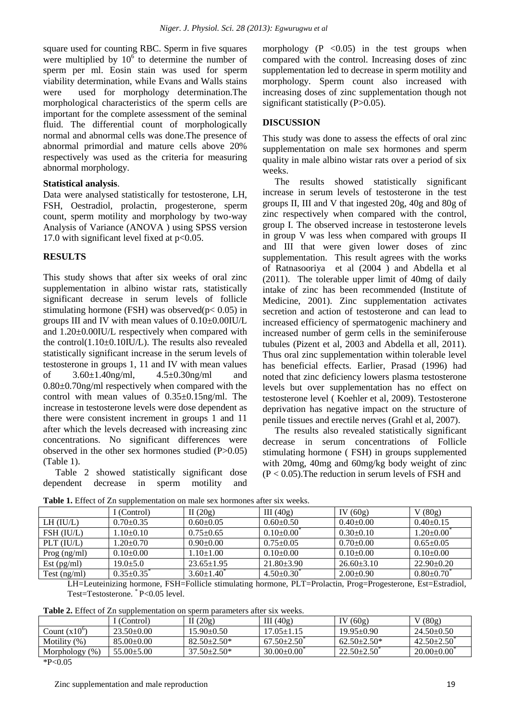square used for counting RBC. Sperm in five squares were multiplied by  $10^6$  to determine the number of sperm per ml. Eosin stain was used for sperm viability determination, while Evans and Walls stains were used for morphology determination.The morphological characteristics of the sperm cells are important for the complete assessment of the seminal fluid. The differential count of morphologically normal and abnormal cells was done.The presence of abnormal primordial and mature cells above 20% respectively was used as the criteria for measuring abnormal morphology.

#### **Statistical analysis**.

Data were analysed statistically for testosterone, LH, FSH, Oestradiol, prolactin, progesterone, sperm count, sperm motility and morphology by two-way Analysis of Variance (ANOVA ) using SPSS version 17.0 with significant level fixed at p<0.05.

#### **RESULTS**

This study shows that after six weeks of oral zinc supplementation in albino wistar rats, statistically significant decrease in serum levels of follicle stimulating hormone (FSH) was observed( $p$ < 0.05) in groups III and IV with mean values of 0.10±0.00IU/L and 1.20±0.00IU/L respectively when compared with the control $(1.10\pm0.10$ IU/L). The results also revealed statistically significant increase in the serum levels of testosterone in groups 1, 11 and IV with mean values of 3.60±1.40ng/ml, 4.5±0.30ng/ml and 0.80±0.70ng/ml respectively when compared with the control with mean values of 0.35±0.15ng/ml. The increase in testosterone levels were dose dependent as there were consistent increment in groups 1 and 11 after which the levels decreased with increasing zinc concentrations. No significant differences were observed in the other sex hormones studied (P>0.05) (Table 1).

Table 2 showed statistically significant dose dependent decrease in sperm motility and morphology  $(P \le 0.05)$  in the test groups when compared with the control. Increasing doses of zinc supplementation led to decrease in sperm motility and morphology. Sperm count also increased with increasing doses of zinc supplementation though not significant statistically (P>0.05).

### **DISCUSSION**

This study was done to assess the effects of oral zinc supplementation on male sex hormones and sperm quality in male albino wistar rats over a period of six weeks.

The results showed statistically significant increase in serum levels of testosterone in the test groups II, III and V that ingested 20g, 40g and 80g of zinc respectively when compared with the control, group I. The observed increase in testosterone levels in group V was less when compared with groups II and III that were given lower doses of zinc supplementation. This result agrees with the works of Ratnasooriya et al (2004 ) and Abdella et al (2011). The tolerable upper limit of 40mg of daily intake of zinc has been recommended (Institute of Medicine, 2001). Zinc supplementation activates secretion and action of testosterone and can lead to increased efficiency of spermatogenic machinery and increased number of germ cells in the seminiferouse tubules (Pizent et al, 2003 and Abdella et all, 2011). Thus oral zinc supplementation within tolerable level has beneficial effects. Earlier, Prasad (1996) had noted that zinc deficiency lowers plasma testosterone levels but over supplementation has no effect on testosterone level ( Koehler et al, 2009). Testosterone deprivation has negative impact on the structure of penile tissues and erectile nerves (Grahl et al, 2007).

The results also revealed statistically significant decrease in serum concentrations of Follicle stimulating hormone ( FSH) in groups supplemented with 20mg, 40mg and 60mg/kg body weight of zinc  $(P < 0.05)$ . The reduction in serum levels of FSH and

| Table 1. Effect of Zn supplementation on male sex hormones after six weeks. |  |
|-----------------------------------------------------------------------------|--|
|-----------------------------------------------------------------------------|--|

|                  | I (Control)         | II $(20g)$              | III $(40g)$             | IV $(60g)$      | V(80g)                       |
|------------------|---------------------|-------------------------|-------------------------|-----------------|------------------------------|
| $LH$ (IU/L)      | $0.70 \pm 0.35$     | $0.60 \pm 0.05$         | $0.60 \pm 0.50$         | $0.40 \pm 0.00$ | $0.40 \pm 0.15$              |
| FSH (IU/L)       | $1.10\pm0.10$       | $0.75 \pm 0.65$         | $0.10{\pm}0.00^{\circ}$ | $0.30 \pm 0.10$ | $1.20 \pm 0.00$              |
| $PLT$ ( $IU/L$ ) | $1.20 \pm 0.70$     | $0.90 \pm 0.00$         | $0.75 \pm 0.05$         | $0.70 \pm 0.00$ | $0.65 \pm 0.05$              |
| Prog $(ng/ml)$   | $0.10+0.00$         | $1.10 \pm 1.00$         | $0.10 \pm 0.00$         | $0.10 \pm 0.00$ | $0.10+0.00$                  |
| Est $(pg/ml)$    | $19.0 + 5.0$        | $23.65 \pm 1.95$        | $21.80 \pm 3.90$        | $26.60\pm3.10$  | $22.90 \pm 0.20$             |
| $Test$ (ng/ml)   | $0.35+0.35^{\circ}$ | $3.60 \pm 1.40^{\circ}$ | $4.50\pm0.30^{\circ}$   | $2.00+0.90$     | $0.80 \pm 0.70$ <sup>*</sup> |

LH=Leuteinizing hormone, FSH=Follicle stimulating hormone, PLT=Prolactin, Prog=Progesterone, Est=Estradiol, Test=Testosterone. \* P<0.05 level.

**Table 2.** Effect of Zn supplementation on sperm parameters after six weeks.

|                       | (Control)        | II $(20g)$         | III $(40g)$      | (60g)            | (80g)            |
|-----------------------|------------------|--------------------|------------------|------------------|------------------|
| Count $(x10^{\circ})$ | $23.50 \pm 0.00$ | $15.90 \pm 0.50$   | $17.05 \pm 1.15$ | $19.95 \pm 0.90$ | $24.50\pm0.50$   |
| Motility $(\%)$       | $85.00 \pm 0.00$ | $82.50 \pm 2.50^*$ | $67.50 \pm 2.50$ | $62.50+2.50*$    | $42.50 \pm 2.50$ |
| Morphology $(\%)$     | $55.00 \pm 5.00$ | $37.50 \pm 2.50^*$ | $30.00 \pm 0.00$ | $22.50 \pm 2.50$ | $20.00 \pm 0.00$ |
| $*D \cdot \Omega$     |                  |                    |                  |                  |                  |

 $*P<0.05$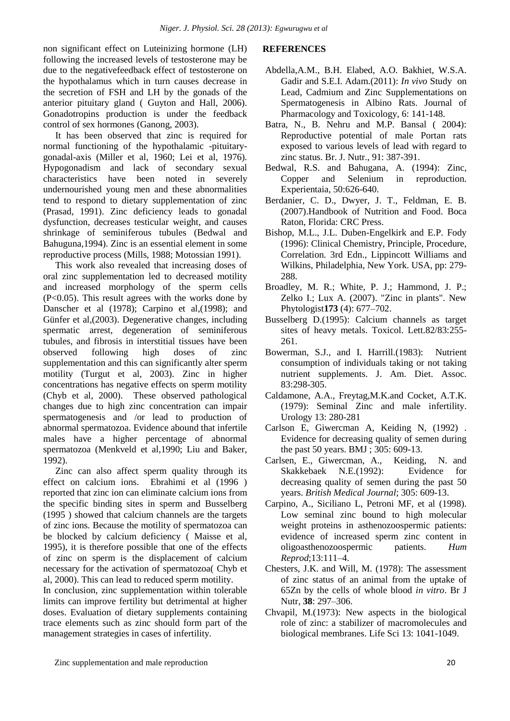non significant effect on Luteinizing hormone (LH) following the increased levels of testosterone may be due to the negativefeedback effect of testosterone on the hypothalamus which in turn causes decrease in the secretion of FSH and LH by the gonads of the anterior pituitary gland ( Guyton and Hall, 2006). Gonadotropins production is under the feedback control of sex hormones (Ganong, 2003).

It has been observed that zinc is required for normal functioning of the hypothalamic -pituitarygonadal-axis (Miller et al, 1960; Lei et al, 1976). Hypogonadism and lack of secondary sexual characteristics have been noted in severely undernourished young men and these abnormalities tend to respond to dietary supplementation of zinc (Prasad, 1991). Zinc deficiency leads to gonadal dysfunction, decreases testicular weight, and causes shrinkage of seminiferous tubules (Bedwal and Bahuguna,1994). Zinc is an essential element in some reproductive process (Mills, 1988; Motossian 1991).

This work also revealed that increasing doses of oral zinc supplementation led to decreased motility and increased morphology of the sperm cells (P<0.05). This result agrees with the works done by Danscher et al (1978); Carpino et al,(1998); and Günfer et al,(2003). Degenerative changes, including spermatic arrest, degeneration of seminiferous tubules, and fibrosis in interstitial tissues have been observed following high doses of zinc supplementation and this can significantly alter sperm motility (Turgut et al, 2003). Zinc in higher concentrations has negative effects on sperm motility (Chyb et al, 2000). These observed pathological changes due to high zinc concentration can impair spermatogenesis and /or lead to production of abnormal spermatozoa. Evidence abound that infertile males have a higher percentage of abnormal spermatozoa (Menkveld et al,1990; Liu and Baker, 1992).

Zinc can also affect sperm quality through its effect on calcium ions. Ebrahimi et al (1996 ) reported that zinc ion can eliminate calcium ions from the specific binding sites in sperm and Busselberg (1995 ) showed that calcium channels are the targets of zinc ions. Because the motility of spermatozoa can be blocked by calcium deficiency ( Maisse et al, 1995), it is therefore possible that one of the effects of zinc on sperm is the displacement of calcium necessary for the activation of spermatozoa( Chyb et al, 2000). This can lead to reduced sperm motility.

In conclusion, zinc supplementation within tolerable limits can improve fertility but detrimental at higher doses. Evaluation of dietary supplements containing trace elements such as zinc should form part of the management strategies in cases of infertility.

### **REFERENCES**

- Abdella,A.M., B.H. Elabed, A.O. Bakhiet, W.S.A. Gadir and S.E.I. Adam.(2011): *In vivo* Study on Lead, Cadmium and Zinc Supplementations on Spermatogenesis in Albino Rats. Journal of Pharmacology and Toxicology, 6: 141-148.
- Batra, N., B. Nehru and M.P. Bansal ( 2004): Reproductive potential of male Portan rats exposed to various levels of lead with regard to zinc status. Br. J. Nutr., 91: 387-391.
- Bedwal, R.S. and Bahugana, A. (1994): Zinc, Copper and Selenium in reproduction. Experientaia, 50:626-640.
- Berdanier, C. D., Dwyer, J. T., Feldman, E. B. (2007)[.Handbook of Nutrition and Food.](http://books.google.com/books?id=PJpieIePsmUC) Boca Raton, Florida: CRC Press.
- Bishop, M.L., J.L. Duben-Engelkirk and E.P. Fody (1996): Clinical Chemistry, Principle, Procedure, Correlation. 3rd Edn., Lippincott Williams and Wilkins, Philadelphia, New York. USA, pp: 279- 288.
- Broadley, M. R.; White, P. J.; Hammond, J. P.; Zelko I.; Lux A. (2007). "Zinc in plants". New Phytologist**173** (4): 677–702.
- Busselberg D.(1995): Calcium channels as target sites of heavy metals. Toxicol. Lett.82/83:255- 261.
- Bowerman, S.J., and I. Harrill.(1983): Nutrient consumption of individuals taking or not taking nutrient supplements. J. Am. Diet. Assoc. 83:298-305.
- Caldamone, A.A., Freytag,M.K.and Cocket, A.T.K. (1979): Seminal Zinc and male infertility. Urology 13: 280-281
- Carlson E, Giwercman A, Keiding N, (1992) . Evidence for decreasing quality of semen during the past 50 years. BMJ ; 305: 609-13.
- Carlsen, E., Giwercman, A., Keiding, N. and Skakkebaek N.E.(1992): Evidence for decreasing quality of semen during the past 50 years. *British Medical Journal*; 305: 609-13.
- Carpino, A., Siciliano L, Petroni MF, et al (1998). Low seminal zinc bound to high molecular weight proteins in asthenozoospermic patients: evidence of increased sperm zinc content in oligoasthenozoospermic patients. *Hum Reprod*;13:111–4.
- Chesters, J.K. and Will, M. (1978): The assessment of zinc status of an animal from the uptake of 65Zn by the cells of whole blood *in vitro*. Br J Nutr, **38**: 297–306.
- Chvapil, M.(1973): New aspects in the biological role of zinc: a stabilizer of macromolecules and biological membranes. Life Sci 13: 1041-1049.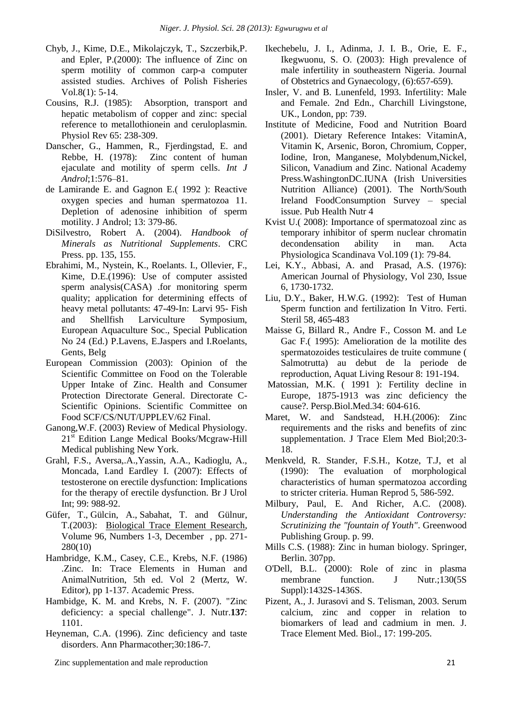- Chyb, J., Kime, D.E., Mikolajczyk, T., Szczerbik,P. and Epler, P.(2000): The influence of Zinc on sperm motility of common carp-a computer assisted studies. Archives of Polish Fisheries Vol.8(1): 5-14.
- Cousins, R.J. (1985): Absorption, transport and hepatic metabolism of copper and zinc: special reference to metallothionein and ceruloplasmin. Physiol Rev 65: 238-309.
- Danscher, G., Hammen, R., Fjerdingstad, E. and Rebbe, H. (1978): Zinc content of human ejaculate and motility of sperm cells. *Int J Androl*;1:576–81.
- de Lamirande E. and Gagnon E.( 1992 ): Reactive oxygen species and human spermatozoa 11. Depletion of adenosine inhibition of sperm motility. J Androl; 13: 379-86.
- DiSilvestro, Robert A. (2004). *Handbook of Minerals as Nutritional Supplements*. CRC Press. pp. 135, 155.
- Ebrahimi, M., Nystein, K., Roelants. I., Ollevier, F., Kime, D.E.(1996): Use of computer assisted sperm analysis(CASA) .for monitoring sperm quality; application for determining effects of heavy metal pollutants: 47-49-In: Larvi 95- Fish and Shellfish Larviculture Symposium, European Aquaculture Soc., Special Publication No 24 (Ed.) P.Lavens, E.Jaspers and I.Roelants, Gents, Belg
- European Commission (2003): Opinion of the Scientific Committee on Food on the Tolerable Upper Intake of Zinc. Health and Consumer Protection Directorate General. Directorate C-Scientific Opinions. Scientific Committee on Food SCF/CS/NUT/UPPLEV/62 Final.
- Ganong,W.F. (2003) Review of Medical Physiology. 21<sup>st</sup> Edition Lange Medical Books/Mcgraw-Hill Medical publishing New York.
- Grahl, F.S., Aversa,.A.,Yassin, A.A., Kadioglu, A., Moncada, I.and Eardley I. (2007): Effects of testosterone on erectile dysfunction: Implications for the therapy of erectile dysfunction. Br J Urol Int; 99: 988-92.
- Güfer, T., Gülcin, A., Sabahat, T. and Gülnur, T.(2003): [Biological Trace Element Research,](http://www.ingentaconnect.com/content/hum/bter;jsessionid=dbwwap7gngn2.victoria) Volume 96, Numbers 1-3, December , pp. 271- 280(10)
- Hambridge, K.M., Casey, C.E., Krebs, N.F. (1986) .Zinc. In: Trace Elements in Human and AnimalNutrition, 5th ed. Vol 2 (Mertz, W. Editor), pp 1-137. Academic Press.
- Hambidge, K. M. and Krebs, N. F. (2007). ["Zinc](http://jn.nutrition.org/cgi/pmidlookup?view=long&pmid=17374687)  [deficiency: a special challenge"](http://jn.nutrition.org/cgi/pmidlookup?view=long&pmid=17374687). J. Nutr.**137**: 1101.
- Heyneman, C.A. (1996). Zinc deficiency and taste disorders. Ann Pharmacother;30:186-7.

Zinc supplementation and male reproduction 21

- [Ikechebelu, J. I.,](http://www.cababstractsplus.org/abstracts/SearchResults.aspx?cx=011480691189790707546:cops6fzdyna&cof=FORID:9&ie=UTF-8&q=Ikechebelu,%20J.%20I.&sa=Search) [Adinma, J. I. B.,](http://www.cababstractsplus.org/abstracts/SearchResults.aspx?cx=011480691189790707546:cops6fzdyna&cof=FORID:9&ie=UTF-8&q=Adinma,%20J.%20I.%20B.&sa=Search) [Orie, E. F.,](http://www.cababstractsplus.org/abstracts/SearchResults.aspx?cx=011480691189790707546:cops6fzdyna&cof=FORID:9&ie=UTF-8&q=Orie,%20E.%20F.&sa=Search) [Ikegwuonu, S. O.](http://www.cababstractsplus.org/abstracts/SearchResults.aspx?cx=011480691189790707546:cops6fzdyna&cof=FORID:9&ie=UTF-8&q=Ikegwuonu,%20S.%20O.&sa=Search) (2003): High prevalence of male infertility in southeastern Nigeria. Journal of Obstetrics and Gynaecology, (6):657-659).
- Insler, V. and B. Lunenfeld, 1993. Infertility: Male and Female. 2nd Edn., Charchill Livingstone, UK., London, pp: 739.
- Institute of Medicine, Food and Nutrition Board (2001). Dietary Reference Intakes: VitaminA, Vitamin K, Arsenic, Boron, Chromium, Copper, Iodine, Iron, Manganese, Molybdenum,Nickel, Silicon, Vanadium and Zinc. National Academy Press.WashingtonDC.IUNA (Irish Universities Nutrition Alliance) (2001). The North/South Ireland FoodConsumption Survey – special issue. Pub Health Nutr 4
- Kvist U.( 2008): Importance of spermatozoal zinc as temporary inhibitor of sperm nuclear chromatin decondensation ability in man. Acta Physiologica Scandinava Vol.109 (1): 79-84.
- Lei, K.Y., Abbasi, A. and Prasad, A.S. (1976): American Journal of Physiology, Vol 230, Issue 6, 1730-1732.
- Liu, D.Y., Baker, H.W.G. (1992): Test of Human Sperm function and fertilization In Vitro. Ferti. Steril 58, 465-483
- Maisse G, Billard R., Andre F., Cosson M. and Le Gac F.( 1995): Amelioration de la motilite des spermatozoides testiculaires de truite commune ( Salmotrutta) au debut de la periode de reproduction, Aquat Living Resour 8: 191-194.
- Matossian, M.K. ( 1991 ): Fertility decline in Europe, 1875-1913 was zinc deficiency the cause?. Persp.Biol.Med.34: 604-616.
- Maret, W. and Sandstead, H.H.(2006): Zinc requirements and the risks and benefits of zinc supplementation. J Trace Elem Med Biol;20:3- 18.
- Menkveld, R. Stander, F.S.H., Kotze, T.J, et al (1990): The evaluation of morphological characteristics of human spermatozoa according to stricter criteria. Human Reprod 5, 586-592.
- Milbury, Paul, E. And Richer, A.C. (2008). *Understanding the Antioxidant Controversy: Scrutinizing the "fountain of Youth"*. Greenwood Publishing Group. p. 99.
- Mills C.S. (1988): Zinc in human biology. Springer, Berlin. 307pp.
- O'Dell, B.L. (2000): Role of zinc in plasma membrane function. J Nutr.;130(5S) Suppl):1432S-1436S.
- Pizent, A., J. Jurasovi and S. Telisman, 2003. Serum calcium, zinc and copper in relation to biomarkers of lead and cadmium in men. J. Trace Element Med. Biol., 17: 199-205.